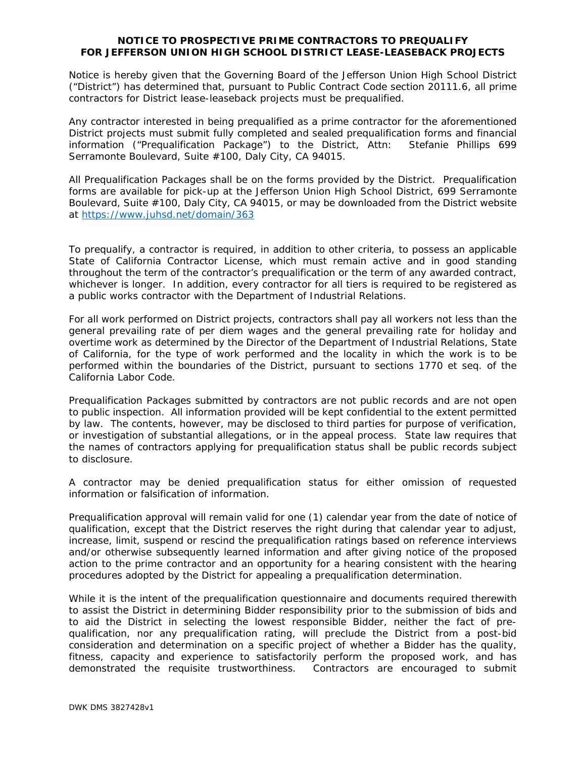## **NOTICE TO PROSPECTIVE PRIME CONTRACTORS TO PREQUALIFY FOR JEFFERSON UNION HIGH SCHOOL DISTRICT LEASE-LEASEBACK PROJECTS**

Notice is hereby given that the Governing Board of the Jefferson Union High School District ("District") has determined that, pursuant to Public Contract Code section 20111.6, all prime contractors for District lease-leaseback projects must be prequalified.

Any contractor interested in being prequalified as a prime contractor for the aforementioned District projects must submit fully completed and sealed prequalification forms and financial information ("Prequalification Package") to the District, Attn: Stefanie Phillips 699 Serramonte Boulevard, Suite #100, Daly City, CA 94015.

All Prequalification Packages shall be on the forms provided by the District. Prequalification forms are available for pick-up at the Jefferson Union High School District, 699 Serramonte Boulevard, Suite #100, Daly City, CA 94015, or may be downloaded from the District website at https://www.juhsd.net/domain/363

To prequalify, a contractor is required, in addition to other criteria, to possess an applicable State of California Contractor License, which must remain active and in good standing throughout the term of the contractor's prequalification or the term of any awarded contract, whichever is longer. In addition, every contractor for all tiers is required to be registered as a public works contractor with the Department of Industrial Relations.

For all work performed on District projects, contractors shall pay all workers not less than the general prevailing rate of per diem wages and the general prevailing rate for holiday and overtime work as determined by the Director of the Department of Industrial Relations, State of California, for the type of work performed and the locality in which the work is to be performed within the boundaries of the District, pursuant to sections 1770 *et seq*. of the California Labor Code.

Prequalification Packages submitted by contractors are not public records and are not open to public inspection. All information provided will be kept confidential to the extent permitted by law. The contents, however, may be disclosed to third parties for purpose of verification, or investigation of substantial allegations, or in the appeal process. State law requires that the names of contractors applying for prequalification status shall be public records subject to disclosure.

A contractor may be denied prequalification status for either omission of requested information or falsification of information.

Prequalification approval will remain valid for one (1) calendar year from the date of notice of qualification, except that the District reserves the right during that calendar year to adjust, increase, limit, suspend or rescind the prequalification ratings based on reference interviews and/or otherwise subsequently learned information and after giving notice of the proposed action to the prime contractor and an opportunity for a hearing consistent with the hearing procedures adopted by the District for appealing a prequalification determination.

While it is the intent of the prequalification questionnaire and documents required therewith to assist the District in determining Bidder responsibility prior to the submission of bids and to aid the District in selecting the lowest responsible Bidder, neither the fact of prequalification, nor any prequalification rating, will preclude the District from a post-bid consideration and determination on a specific project of whether a Bidder has the quality, fitness, capacity and experience to satisfactorily perform the proposed work, and has demonstrated the requisite trustworthiness. Contractors are encouraged to submit